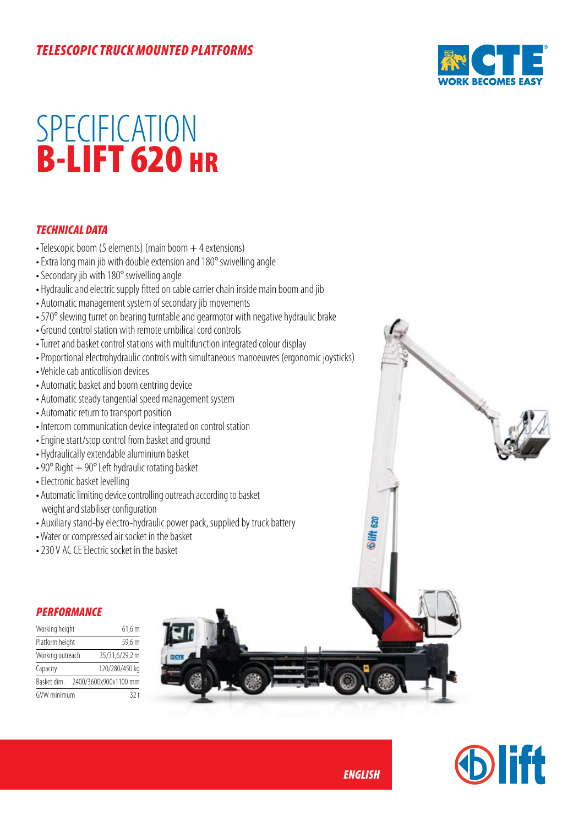## *telescopic truck mounted platforms*



# **SPECIFICATION** B-LIFT 620 HR

### *TECHNICAL DATA*

- $\bullet$  Telescopic boom (5 elements) (main boom  $+$  4 extensions)
- Extra long main jib with double extension and 180° swivelling angle
- Secondary jib with 180° swivelling angle
- Hydraulic and electric supply fitted on cable carrier chain inside main boom and jib
- Automatic management system of secondary jib movements
- 570° slewing turret on bearing turntable and gearmotor with negative hydraulic brake
- Ground control station with remote umbilical cord controls
- Turret and basket control stations with multifunction integrated colour display
- Proportional electrohydraulic controls with simultaneous manoeuvres (ergonomic joysticks)
- Vehicle cab anticollision devices
- Automatic basket and boom centring device
- Automatic steady tangential speed management system
- Automatic return to transport position
- Intercom communication device integrated on control station
- Engine start/stop control from basket and ground
- Hydraulically extendable aluminium basket
- 90 $\degree$  Right  $+$  90 $\degree$  Left hydraulic rotating basket
- Electronic basket levelling
- Automatic limiting device controlling outreach according to basket weight and stabiliser configuration
- Auxiliary stand-by electro-hydraulic power pack, supplied by truck battery
- Water or compressed air socket in the basket
- 230 V AC CE Electric socket in the basket

#### *PERFORMANCE*

| Working height   |  | 61,6 m                |
|------------------|--|-----------------------|
| Platform height  |  | 59,6 m                |
| Working outreach |  | 35/31,6/29,2 m        |
| Capacity         |  | 120/280/450 kg        |
| Basket dim.      |  | 2400/3600x900x1100 mm |
| GVW minimum      |  | 32t                   |





*ENGLISH*

**lift** 620